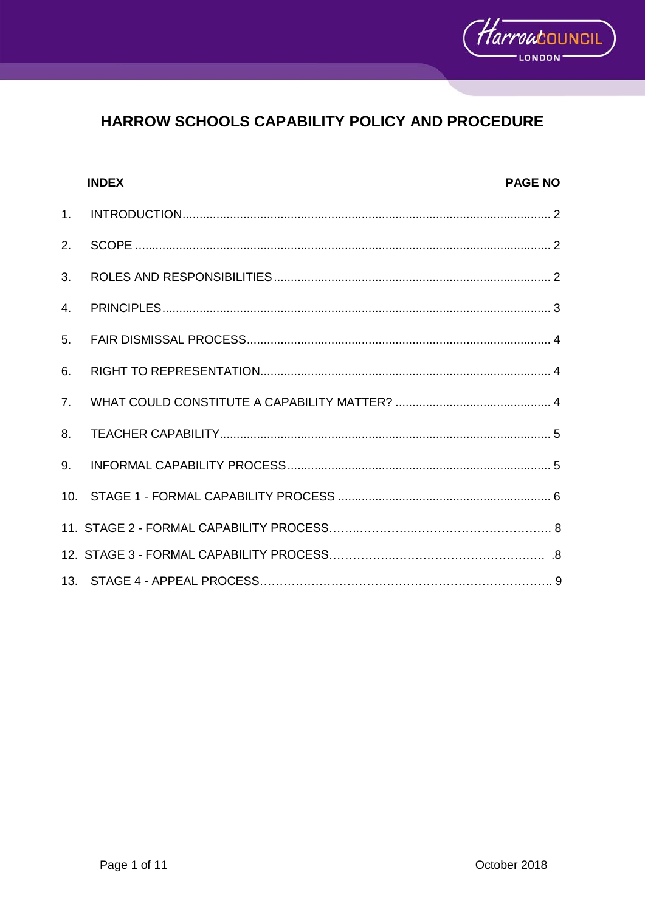

|                | <b>INDEX</b> | <b>PAGE NO</b> |
|----------------|--------------|----------------|
| 1 <sub>1</sub> |              |                |
| 2.             |              |                |
| 3.             |              |                |
| 4.             |              |                |
| 5.             |              |                |
| 6.             |              |                |
| 7 <sub>1</sub> |              |                |
| 8.             |              |                |
| 9.             |              |                |
|                |              |                |
|                |              |                |
|                |              |                |
|                |              |                |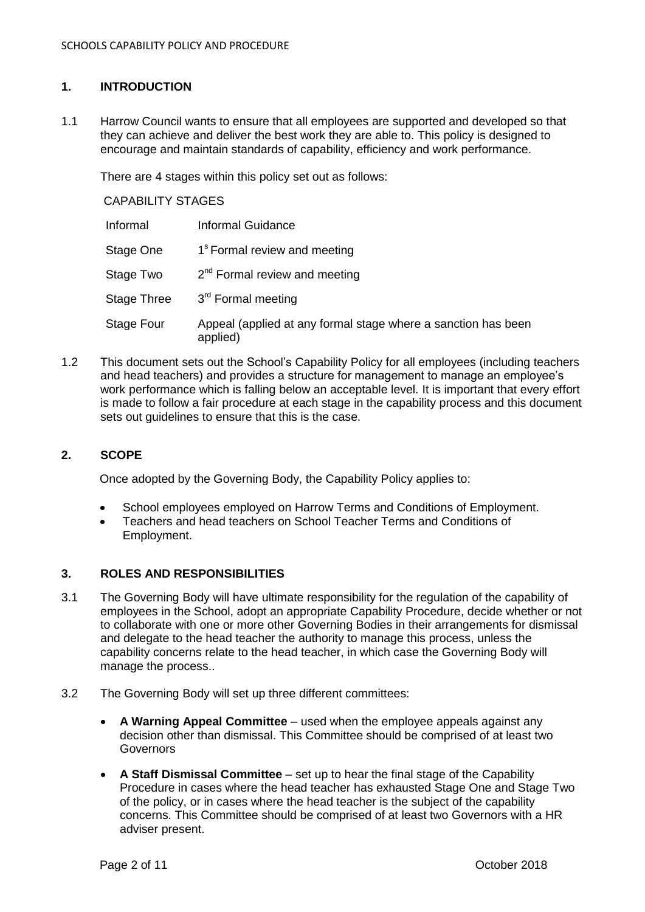## **1. INTRODUCTION**

1.1 Harrow Council wants to ensure that all employees are supported and developed so that they can achieve and deliver the best work they are able to. This policy is designed to encourage and maintain standards of capability, efficiency and work performance.

There are 4 stages within this policy set out as follows:

CAPABILITY STAGES

| Informal    | <b>Informal Guidance</b>                                                  |
|-------------|---------------------------------------------------------------------------|
| Stage One   | 1 <sup>s</sup> Formal review and meeting                                  |
| Stage Two   | $2^{nd}$ Formal review and meeting                                        |
| Stage Three | 3 <sup>rd</sup> Formal meeting                                            |
| Stage Four  | Appeal (applied at any formal stage where a sanction has been<br>applied) |

1.2 This document sets out the School's Capability Policy for all employees (including teachers and head teachers) and provides a structure for management to manage an employee's work performance which is falling below an acceptable level. It is important that every effort is made to follow a fair procedure at each stage in the capability process and this document sets out quidelines to ensure that this is the case.

### **2. SCOPE**

Once adopted by the Governing Body, the Capability Policy applies to:

- School employees employed on Harrow Terms and Conditions of Employment.
- Teachers and head teachers on School Teacher Terms and Conditions of Employment.

## **3. ROLES AND RESPONSIBILITIES**

- 3.1 The Governing Body will have ultimate responsibility for the regulation of the capability of employees in the School, adopt an appropriate Capability Procedure, decide whether or not to collaborate with one or more other Governing Bodies in their arrangements for dismissal and delegate to the head teacher the authority to manage this process, unless the capability concerns relate to the head teacher, in which case the Governing Body will manage the process..
- 3.2 The Governing Body will set up three different committees:
	- **A Warning Appeal Committee** used when the employee appeals against any decision other than dismissal. This Committee should be comprised of at least two Governors
	- **A Staff Dismissal Committee** set up to hear the final stage of the Capability Procedure in cases where the head teacher has exhausted Stage One and Stage Two of the policy, or in cases where the head teacher is the subject of the capability concerns. This Committee should be comprised of at least two Governors with a HR adviser present.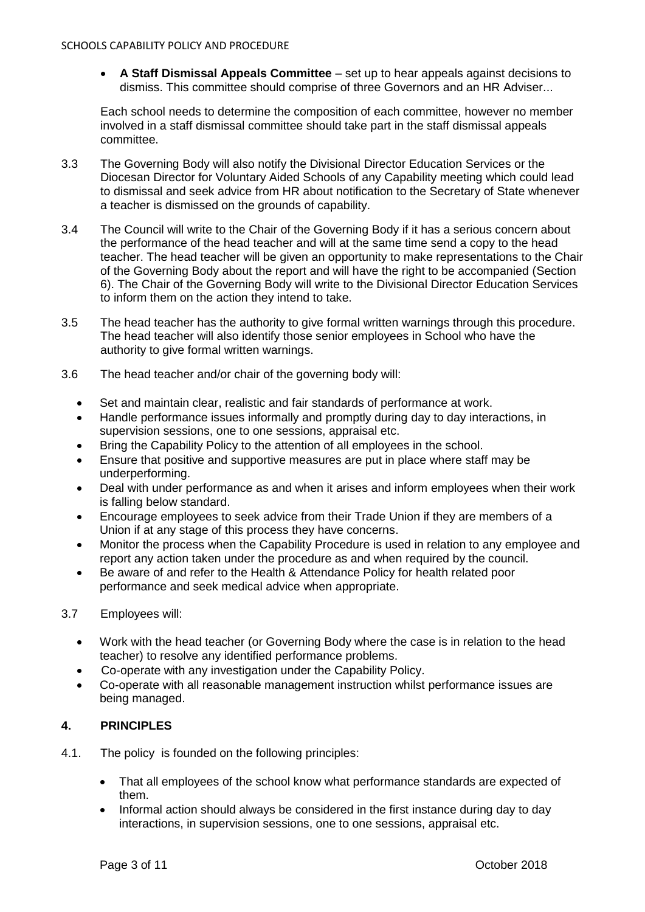**A Staff Dismissal Appeals Committee** – set up to hear appeals against decisions to dismiss. This committee should comprise of three Governors and an HR Adviser...

Each school needs to determine the composition of each committee, however no member involved in a staff dismissal committee should take part in the staff dismissal appeals committee.

- 3.3 The Governing Body will also notify the Divisional Director Education Services or the Diocesan Director for Voluntary Aided Schools of any Capability meeting which could lead to dismissal and seek advice from HR about notification to the Secretary of State whenever a teacher is dismissed on the grounds of capability.
- 3.4 The Council will write to the Chair of the Governing Body if it has a serious concern about the performance of the head teacher and will at the same time send a copy to the head teacher. The head teacher will be given an opportunity to make representations to the Chair of the Governing Body about the report and will have the right to be accompanied (Section 6). The Chair of the Governing Body will write to the Divisional Director Education Services to inform them on the action they intend to take.
- 3.5 The head teacher has the authority to give formal written warnings through this procedure. The head teacher will also identify those senior employees in School who have the authority to give formal written warnings.
- 3.6 The head teacher and/or chair of the governing body will:
	- Set and maintain clear, realistic and fair standards of performance at work.
	- Handle performance issues informally and promptly during day to day interactions, in supervision sessions, one to one sessions, appraisal etc.
	- Bring the Capability Policy to the attention of all employees in the school.
	- Ensure that positive and supportive measures are put in place where staff may be underperforming.
	- Deal with under performance as and when it arises and inform employees when their work is falling below standard.
	- Encourage employees to seek advice from their Trade Union if they are members of a Union if at any stage of this process they have concerns.
	- Monitor the process when the Capability Procedure is used in relation to any employee and report any action taken under the procedure as and when required by the council.
	- Be aware of and refer to the Health & Attendance Policy for health related poor performance and seek medical advice when appropriate.
- 3.7 Employees will:
	- Work with the head teacher (or Governing Body where the case is in relation to the head teacher) to resolve any identified performance problems.
	- Co-operate with any investigation under the Capability Policy.
	- Co-operate with all reasonable management instruction whilst performance issues are being managed.

## **4. PRINCIPLES**

- 4.1. The policy is founded on the following principles:
	- That all employees of the school know what performance standards are expected of them.
	- Informal action should always be considered in the first instance during day to day interactions, in supervision sessions, one to one sessions, appraisal etc.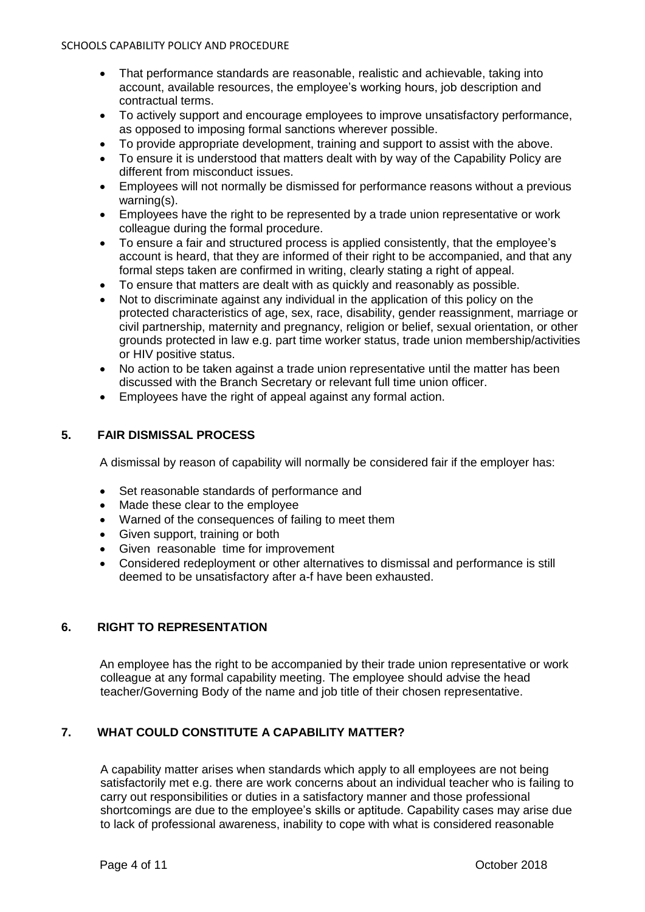- That performance standards are reasonable, realistic and achievable, taking into account, available resources, the employee's working hours, job description and contractual terms.
- To actively support and encourage employees to improve unsatisfactory performance, as opposed to imposing formal sanctions wherever possible.
- To provide appropriate development, training and support to assist with the above.
- To ensure it is understood that matters dealt with by way of the Capability Policy are different from misconduct issues.
- Employees will not normally be dismissed for performance reasons without a previous warning(s).
- Employees have the right to be represented by a trade union representative or work colleague during the formal procedure.
- To ensure a fair and structured process is applied consistently, that the employee's account is heard, that they are informed of their right to be accompanied, and that any formal steps taken are confirmed in writing, clearly stating a right of appeal.
- To ensure that matters are dealt with as quickly and reasonably as possible.
- Not to discriminate against any individual in the application of this policy on the protected characteristics of age, sex, race, disability, gender reassignment, marriage or civil partnership, maternity and pregnancy, religion or belief, sexual orientation, or other grounds protected in law e.g. part time worker status, trade union membership/activities or HIV positive status.
- No action to be taken against a trade union representative until the matter has been discussed with the Branch Secretary or relevant full time union officer.
- Employees have the right of appeal against any formal action.

## **5. FAIR DISMISSAL PROCESS**

A dismissal by reason of capability will normally be considered fair if the employer has:

- Set reasonable standards of performance and
- Made these clear to the employee
- Warned of the consequences of failing to meet them
- Given support, training or both
- Given reasonable time for improvement
- Considered redeployment or other alternatives to dismissal and performance is still deemed to be unsatisfactory after a-f have been exhausted.

## **6. RIGHT TO REPRESENTATION**

An employee has the right to be accompanied by their trade union representative or work colleague at any formal capability meeting. The employee should advise the head teacher/Governing Body of the name and job title of their chosen representative.

## **7. WHAT COULD CONSTITUTE A CAPABILITY MATTER?**

A capability matter arises when standards which apply to all employees are not being satisfactorily met e.g. there are work concerns about an individual teacher who is failing to carry out responsibilities or duties in a satisfactory manner and those professional shortcomings are due to the employee's skills or aptitude. Capability cases may arise due to lack of professional awareness, inability to cope with what is considered reasonable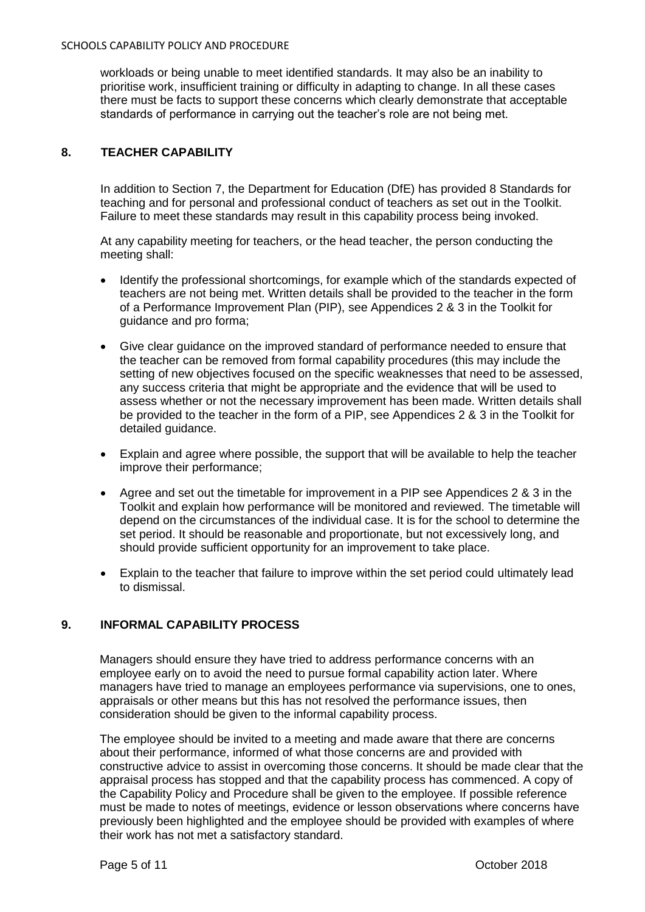workloads or being unable to meet identified standards. It may also be an inability to prioritise work, insufficient training or difficulty in adapting to change. In all these cases there must be facts to support these concerns which clearly demonstrate that acceptable standards of performance in carrying out the teacher's role are not being met.

## **8. TEACHER CAPABILITY**

In addition to Section 7, the Department for Education (DfE) has provided 8 Standards for teaching and for personal and professional conduct of teachers as set out in the Toolkit. Failure to meet these standards may result in this capability process being invoked.

At any capability meeting for teachers, or the head teacher, the person conducting the meeting shall:

- Identify the professional shortcomings, for example which of the standards expected of teachers are not being met. Written details shall be provided to the teacher in the form of a Performance Improvement Plan (PIP), see Appendices 2 & 3 in the Toolkit for guidance and pro forma;
- Give clear guidance on the improved standard of performance needed to ensure that the teacher can be removed from formal capability procedures (this may include the setting of new objectives focused on the specific weaknesses that need to be assessed, any success criteria that might be appropriate and the evidence that will be used to assess whether or not the necessary improvement has been made. Written details shall be provided to the teacher in the form of a PIP, see Appendices 2 & 3 in the Toolkit for detailed guidance.
- Explain and agree where possible, the support that will be available to help the teacher improve their performance;
- Agree and set out the timetable for improvement in a PIP see Appendices 2 & 3 in the Toolkit and explain how performance will be monitored and reviewed. The timetable will depend on the circumstances of the individual case. It is for the school to determine the set period. It should be reasonable and proportionate, but not excessively long, and should provide sufficient opportunity for an improvement to take place.
- Explain to the teacher that failure to improve within the set period could ultimately lead to dismissal.

## **9. INFORMAL CAPABILITY PROCESS**

Managers should ensure they have tried to address performance concerns with an employee early on to avoid the need to pursue formal capability action later. Where managers have tried to manage an employees performance via supervisions, one to ones, appraisals or other means but this has not resolved the performance issues, then consideration should be given to the informal capability process.

The employee should be invited to a meeting and made aware that there are concerns about their performance, informed of what those concerns are and provided with constructive advice to assist in overcoming those concerns. It should be made clear that the appraisal process has stopped and that the capability process has commenced. A copy of the Capability Policy and Procedure shall be given to the employee. If possible reference must be made to notes of meetings, evidence or lesson observations where concerns have previously been highlighted and the employee should be provided with examples of where their work has not met a satisfactory standard.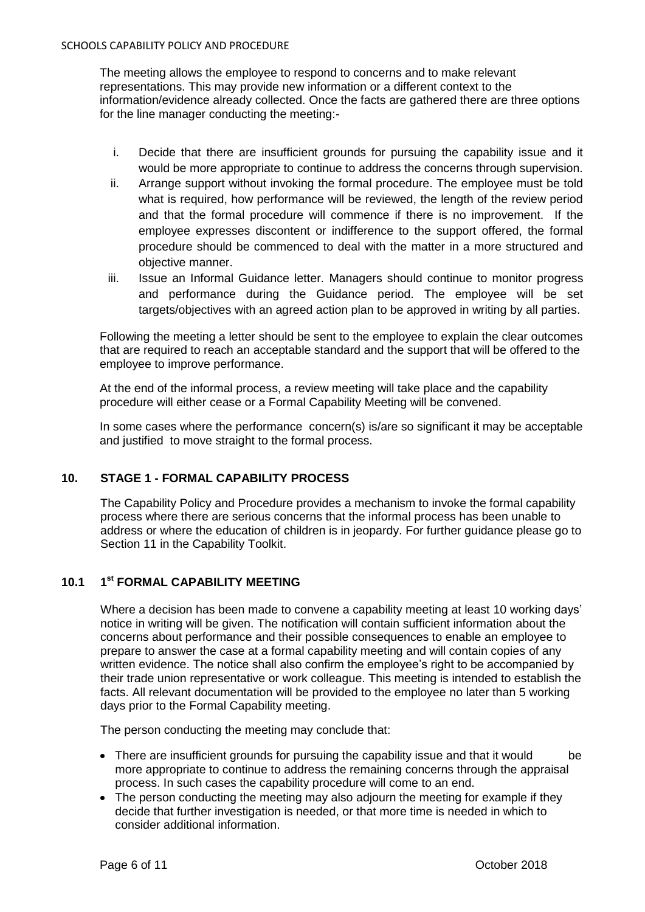The meeting allows the employee to respond to concerns and to make relevant representations. This may provide new information or a different context to the information/evidence already collected. Once the facts are gathered there are three options for the line manager conducting the meeting:-

- i. Decide that there are insufficient grounds for pursuing the capability issue and it would be more appropriate to continue to address the concerns through supervision.
- ii. Arrange support without invoking the formal procedure. The employee must be told what is required, how performance will be reviewed, the length of the review period and that the formal procedure will commence if there is no improvement. If the employee expresses discontent or indifference to the support offered, the formal procedure should be commenced to deal with the matter in a more structured and objective manner.
- iii. Issue an Informal Guidance letter. Managers should continue to monitor progress and performance during the Guidance period. The employee will be set targets/objectives with an agreed action plan to be approved in writing by all parties.

Following the meeting a letter should be sent to the employee to explain the clear outcomes that are required to reach an acceptable standard and the support that will be offered to the employee to improve performance.

At the end of the informal process, a review meeting will take place and the capability procedure will either cease or a Formal Capability Meeting will be convened.

In some cases where the performance concern(s) is/are so significant it may be acceptable and justified to move straight to the formal process.

## **10. STAGE 1 - FORMAL CAPABILITY PROCESS**

The Capability Policy and Procedure provides a mechanism to invoke the formal capability process where there are serious concerns that the informal process has been unable to address or where the education of children is in jeopardy. For further guidance please go to Section 11 in the Capability Toolkit.

## **10.1 1 st FORMAL CAPABILITY MEETING**

Where a decision has been made to convene a capability meeting at least 10 working days' notice in writing will be given. The notification will contain sufficient information about the concerns about performance and their possible consequences to enable an employee to prepare to answer the case at a formal capability meeting and will contain copies of any written evidence. The notice shall also confirm the employee's right to be accompanied by their trade union representative or work colleague. This meeting is intended to establish the facts. All relevant documentation will be provided to the employee no later than 5 working days prior to the Formal Capability meeting.

The person conducting the meeting may conclude that:

- There are insufficient grounds for pursuing the capability issue and that it would be more appropriate to continue to address the remaining concerns through the appraisal process. In such cases the capability procedure will come to an end.
- The person conducting the meeting may also adjourn the meeting for example if they decide that further investigation is needed, or that more time is needed in which to consider additional information.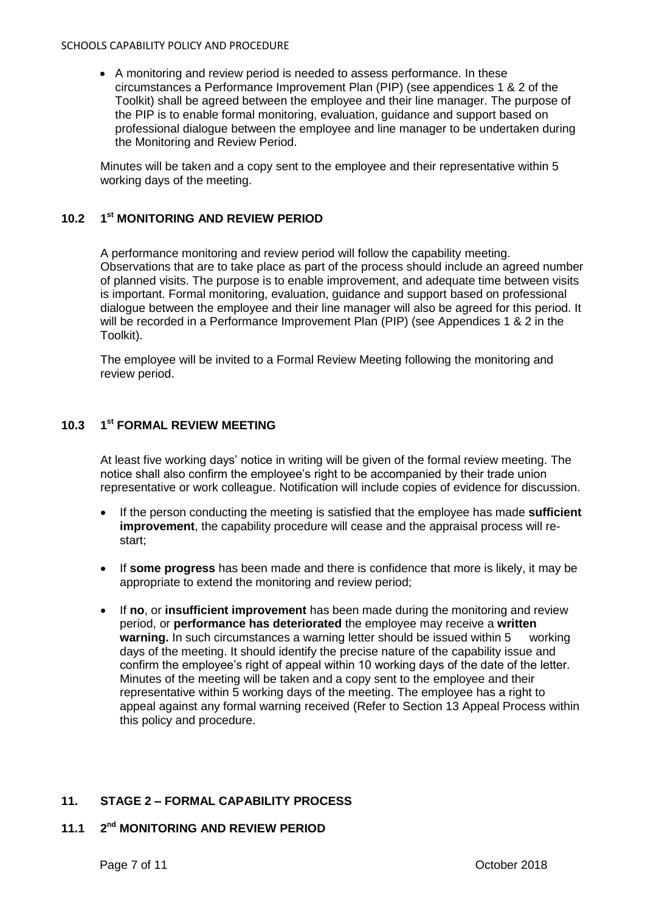A monitoring and review period is needed to assess performance. In these circumstances a Performance Improvement Plan (PIP) (see appendices 1 & 2 of the Toolkit) shall be agreed between the employee and their line manager. The purpose of the PIP is to enable formal monitoring, evaluation, guidance and support based on professional dialogue between the employee and line manager to be undertaken during the Monitoring and Review Period.

Minutes will be taken and a copy sent to the employee and their representative within 5 working days of the meeting.

## **10.2 1 st MONITORING AND REVIEW PERIOD**

A performance monitoring and review period will follow the capability meeting. Observations that are to take place as part of the process should include an agreed number of planned visits. The purpose is to enable improvement, and adequate time between visits is important. Formal monitoring, evaluation, guidance and support based on professional dialogue between the employee and their line manager will also be agreed for this period. It will be recorded in a Performance Improvement Plan (PIP) (see Appendices 1 & 2 in the Toolkit).

The employee will be invited to a Formal Review Meeting following the monitoring and review period.

## **10.3 1 st FORMAL REVIEW MEETING**

At least five working days' notice in writing will be given of the formal review meeting. The notice shall also confirm the employee's right to be accompanied by their trade union representative or work colleague. Notification will include copies of evidence for discussion.

- If the person conducting the meeting is satisfied that the employee has made **sufficient improvement**, the capability procedure will cease and the appraisal process will restart;
- If **some progress** has been made and there is confidence that more is likely, it may be appropriate to extend the monitoring and review period;
- If **no**, or **insufficient improvement** has been made during the monitoring and review period, or **performance has deteriorated** the employee may receive a **written warning.** In such circumstances a warning letter should be issued within 5 working days of the meeting. It should identify the precise nature of the capability issue and confirm the employee's right of appeal within 10 working days of the date of the letter. Minutes of the meeting will be taken and a copy sent to the employee and their representative within 5 working days of the meeting. The employee has a right to appeal against any formal warning received (Refer to Section 13 Appeal Process within this policy and procedure.

## **11. STAGE 2 – FORMAL CAPABILITY PROCESS**

#### **11.1 2 2<sup>nd</sup> MONITORING AND REVIEW PERIOD**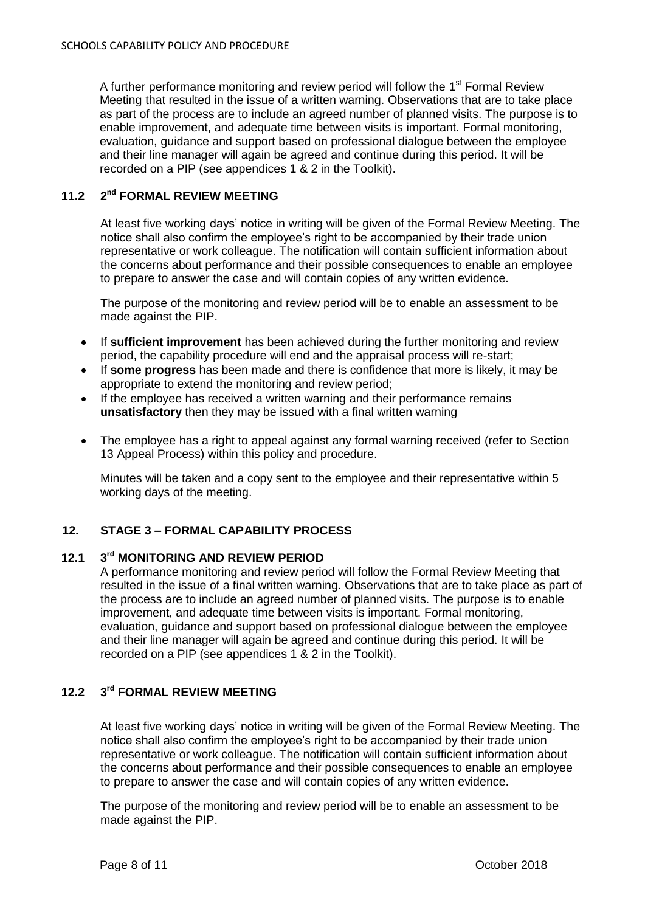A further performance monitoring and review period will follow the 1<sup>st</sup> Formal Review Meeting that resulted in the issue of a written warning. Observations that are to take place as part of the process are to include an agreed number of planned visits. The purpose is to enable improvement, and adequate time between visits is important. Formal monitoring, evaluation, guidance and support based on professional dialogue between the employee and their line manager will again be agreed and continue during this period. It will be recorded on a PIP (see appendices 1 & 2 in the Toolkit).

#### **11.2 2**  $2^{nd}$  **FORMAL REVIEW MEETING**

At least five working days' notice in writing will be given of the Formal Review Meeting. The notice shall also confirm the employee's right to be accompanied by their trade union representative or work colleague. The notification will contain sufficient information about the concerns about performance and their possible consequences to enable an employee to prepare to answer the case and will contain copies of any written evidence.

The purpose of the monitoring and review period will be to enable an assessment to be made against the PIP.

- If **sufficient improvement** has been achieved during the further monitoring and review period, the capability procedure will end and the appraisal process will re-start;
- If **some progress** has been made and there is confidence that more is likely, it may be appropriate to extend the monitoring and review period;
- If the employee has received a written warning and their performance remains **unsatisfactory** then they may be issued with a final written warning
- The employee has a right to appeal against any formal warning received (refer to Section 13 Appeal Process) within this policy and procedure.

Minutes will be taken and a copy sent to the employee and their representative within 5 working days of the meeting.

## **12. STAGE 3 – FORMAL CAPABILITY PROCESS**

#### **12.1 3**  $3<sup>rd</sup>$  **MONITORING AND REVIEW PERIOD**

A performance monitoring and review period will follow the Formal Review Meeting that resulted in the issue of a final written warning. Observations that are to take place as part of the process are to include an agreed number of planned visits. The purpose is to enable improvement, and adequate time between visits is important. Formal monitoring, evaluation, guidance and support based on professional dialogue between the employee and their line manager will again be agreed and continue during this period. It will be recorded on a PIP (see appendices 1 & 2 in the Toolkit).

#### **12.2 3 rd FORMAL REVIEW MEETING**

At least five working days' notice in writing will be given of the Formal Review Meeting. The notice shall also confirm the employee's right to be accompanied by their trade union representative or work colleague. The notification will contain sufficient information about the concerns about performance and their possible consequences to enable an employee to prepare to answer the case and will contain copies of any written evidence.

The purpose of the monitoring and review period will be to enable an assessment to be made against the PIP.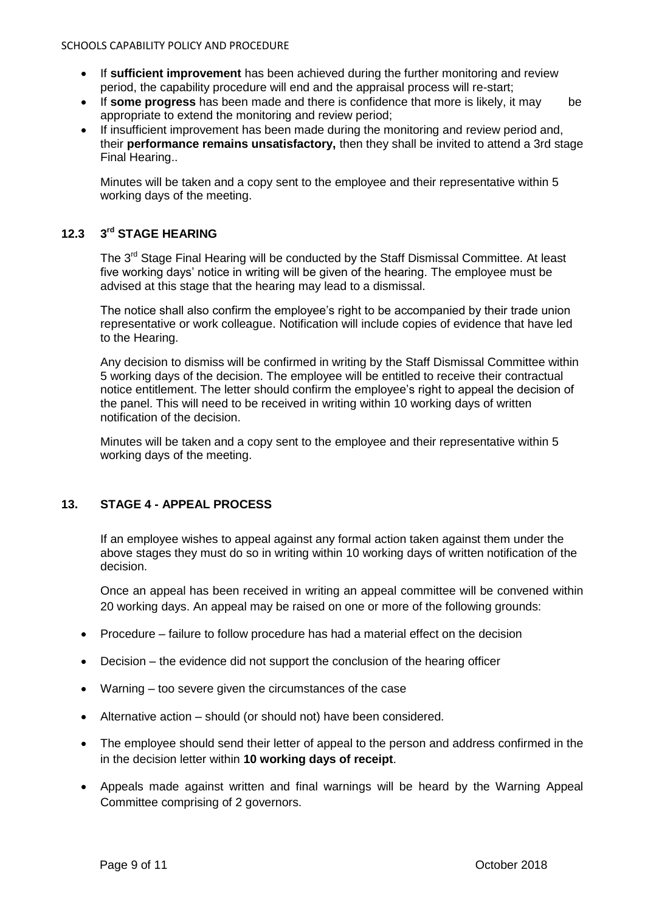- If **sufficient improvement** has been achieved during the further monitoring and review period, the capability procedure will end and the appraisal process will re-start;
- If **some progress** has been made and there is confidence that more is likely, it may be appropriate to extend the monitoring and review period;
- If insufficient improvement has been made during the monitoring and review period and, their **performance remains unsatisfactory,** then they shall be invited to attend a 3rd stage Final Hearing..

Minutes will be taken and a copy sent to the employee and their representative within 5 working days of the meeting.

#### $12.3$ **rd STAGE HEARING**

The 3<sup>rd</sup> Stage Final Hearing will be conducted by the Staff Dismissal Committee. At least five working days' notice in writing will be given of the hearing. The employee must be advised at this stage that the hearing may lead to a dismissal.

The notice shall also confirm the employee's right to be accompanied by their trade union representative or work colleague. Notification will include copies of evidence that have led to the Hearing.

Any decision to dismiss will be confirmed in writing by the Staff Dismissal Committee within 5 working days of the decision. The employee will be entitled to receive their contractual notice entitlement. The letter should confirm the employee's right to appeal the decision of the panel. This will need to be received in writing within 10 working days of written notification of the decision.

Minutes will be taken and a copy sent to the employee and their representative within 5 working days of the meeting.

## **13. STAGE 4 - APPEAL PROCESS**

If an employee wishes to appeal against any formal action taken against them under the above stages they must do so in writing within 10 working days of written notification of the decision.

Once an appeal has been received in writing an appeal committee will be convened within 20 working days. An appeal may be raised on one or more of the following grounds:

- Procedure failure to follow procedure has had a material effect on the decision
- Decision the evidence did not support the conclusion of the hearing officer
- Warning too severe given the circumstances of the case
- Alternative action should (or should not) have been considered.
- The employee should send their letter of appeal to the person and address confirmed in the in the decision letter within **10 working days of receipt**.
- Appeals made against written and final warnings will be heard by the Warning Appeal Committee comprising of 2 governors.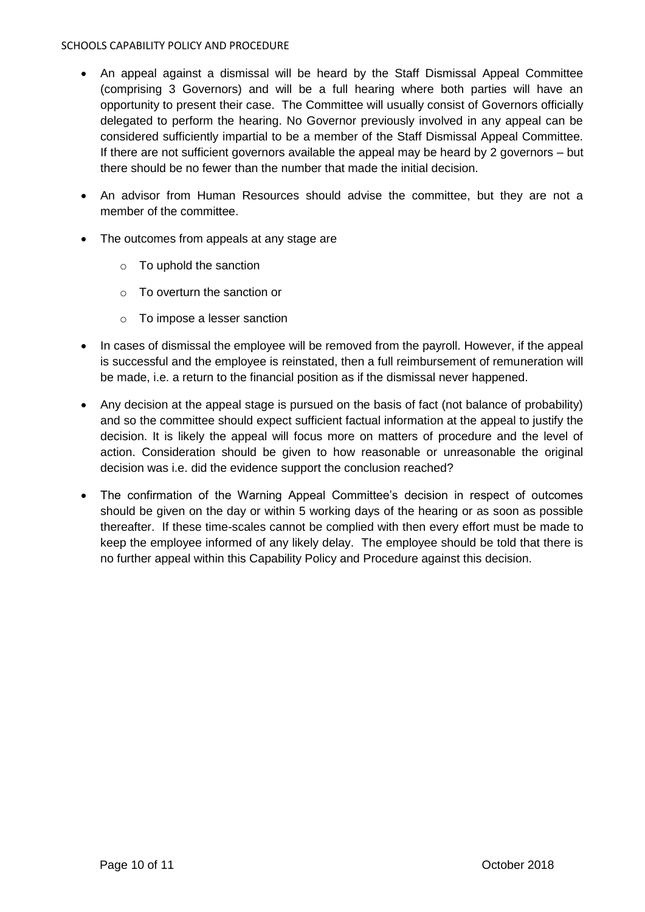- An appeal against a dismissal will be heard by the Staff Dismissal Appeal Committee (comprising 3 Governors) and will be a full hearing where both parties will have an opportunity to present their case. The Committee will usually consist of Governors officially delegated to perform the hearing. No Governor previously involved in any appeal can be considered sufficiently impartial to be a member of the Staff Dismissal Appeal Committee. If there are not sufficient governors available the appeal may be heard by 2 governors – but there should be no fewer than the number that made the initial decision.
- An advisor from Human Resources should advise the committee, but they are not a member of the committee.
- The outcomes from appeals at any stage are
	- o To uphold the sanction
	- o To overturn the sanction or
	- o To impose a lesser sanction
- In cases of dismissal the employee will be removed from the payroll. However, if the appeal is successful and the employee is reinstated, then a full reimbursement of remuneration will be made, i.e. a return to the financial position as if the dismissal never happened.
- Any decision at the appeal stage is pursued on the basis of fact (not balance of probability) and so the committee should expect sufficient factual information at the appeal to justify the decision. It is likely the appeal will focus more on matters of procedure and the level of action. Consideration should be given to how reasonable or unreasonable the original decision was i.e. did the evidence support the conclusion reached?
- The confirmation of the Warning Appeal Committee's decision in respect of outcomes should be given on the day or within 5 working days of the hearing or as soon as possible thereafter. If these time-scales cannot be complied with then every effort must be made to keep the employee informed of any likely delay. The employee should be told that there is no further appeal within this Capability Policy and Procedure against this decision.